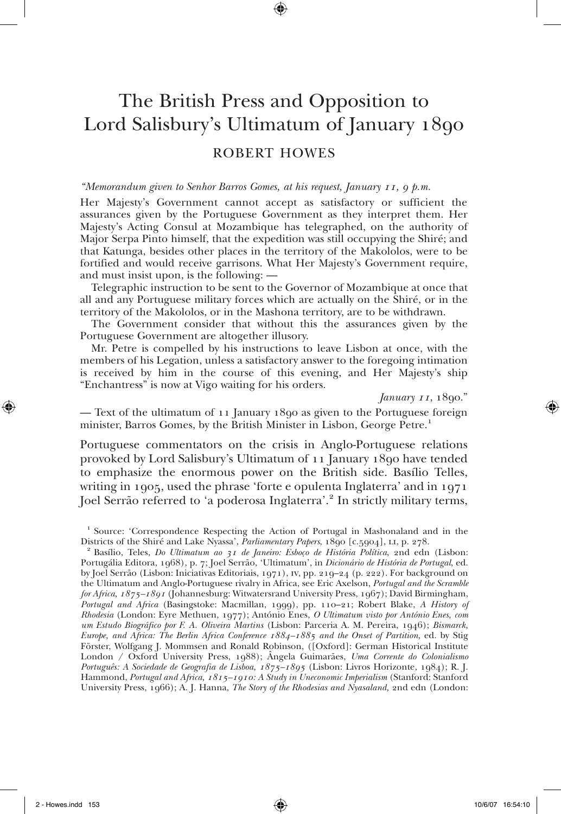# The British Press and Opposition to Lord Salisbury's Ultimatum of January 1890

⊕

# ROBERT HOWES

#### *"Memorandum given to Senhor Barros Gomes, at his request, January 11, 9 p.m.*

Her Majesty's Government cannot accept as satisfactory or sufficient the assurances given by the Portuguese Government as they interpret them. Her Majesty's Acting Consul at Mozambique has telegraphed, on the authority of Major Serpa Pinto himself, that the expedition was still occupying the Shiré; and that Katunga, besides other places in the territory of the Makololos, were to be fortified and would receive garrisons. What Her Majesty's Government require, and must insist upon, is the following: —

 Telegraphic instruction to be sent to the Governor of Mozambique at once that all and any Portuguese military forces which are actually on the Shiré, or in the territory of the Makololos, or in the Mashona territory, are to be withdrawn.

 The Government consider that without this the assurances given by the Portuguese Government are altogether illusory.

 Mr. Petre is compelled by his instructions to leave Lisbon at once, with the members of his Legation, unless a satisfactory answer to the foregoing intimation is received by him in the course of this evening, and Her Majesty's ship "Enchantress" is now at Vigo waiting for his orders.

*January 11*, 1890."

— Text of the ultimatum of 11 January 1890 as given to the Portuguese foreign minister, Barros Gomes, by the British Minister in Lisbon, George Petre.<sup>1</sup>

Portuguese commentators on the crisis in Anglo-Portuguese relations provoked by Lord Salisbury's Ultimatum of 11 January 1890 have tended to emphasize the enormous power on the British side. Basílio Telles, writing in 1905, used the phrase 'forte e opulenta Inglaterra' and in 1971 Joel Serrão referred to 'a poderosa Inglaterra'.<sup>2</sup> In strictly military terms,

⊕

<sup>&</sup>lt;sup>1</sup> Source: 'Correspondence Respecting the Action of Portugal in Mashonaland and in the Districts of the Shiré and Lake Nyassa', *Parliamentary Papers*, 1890 [c.5904], LI, p. 278.

Basílio, Teles, *Do Ultimatum ao 31 de Janeiro: Esboço de História Política*, 2nd edn (Lisbon: Portugália Editora, 1968), p. 7; Joel Serrão, 'Ultimatum', in *Dicionário de História de Portugal*, ed. by Joel Serrão (Lisbon: Iniciativas Editoriais, 1971), iv, pp. 219–24 (p. 222). For background on the Ultimatum and Anglo-Portuguese rivalry in Africa, see Eric Axelson, *Portugal and the Scramble for Africa, 1875–1891* (Johannesburg: Witwatersrand University Press, 1967); David Birmingham, *Portugal and Africa* (Basingstoke: Macmillan, 1999), pp. 110–21; Robert Blake, *A History of Rhodesia* (London: Eyre Methuen, 1977); António Enes, *O Ultimatum visto por António Enes, com um Estudo Biográfico por F. A. Oliveira Martins* (Lisbon: Parceria A. M. Pereira, 1946); *Bismarck, Europe, and Africa: The Berlin Africa Conference 1884–1885 and the Onset of Partition*, ed. by Stig Förster, Wolfgang J. Mommsen and Ronald Robinson, ([Oxford]: German Historical Institute London / Oxford University Press, 1988); Ângela Guimarães, *Uma Corrente do Colonialismo Português: A Sociedade de Geografia de Lisboa, 1875–1895* (Lisbon: Livros Horizonte, 1984); R. J. Hammond, *Portugal and Africa, 1815–1910: A Study in Uneconomic Imperialism* (Stanford: Stanford University Press, 1966); A. J. Hanna, *The Story of the Rhodesias and Nyasaland,* 2nd edn (London: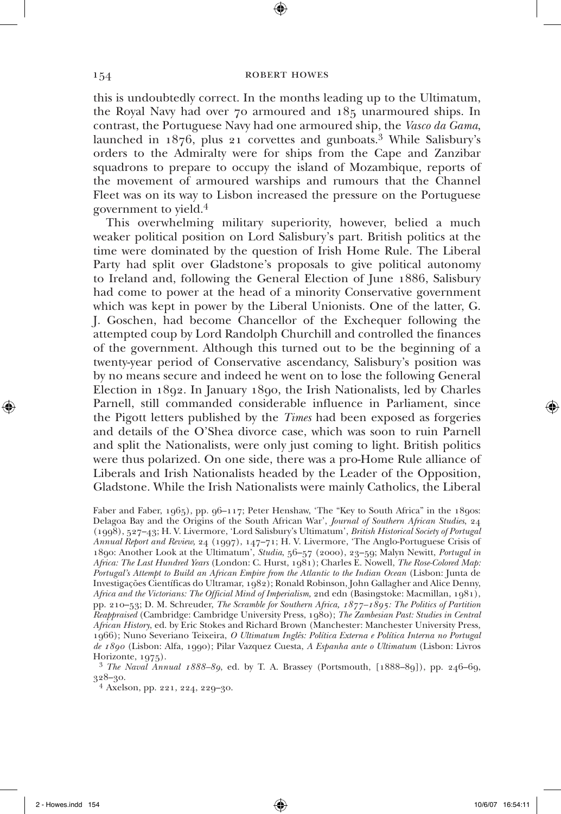this is undoubtedly correct. In the months leading up to the Ultimatum, the Royal Navy had over 70 armoured and 185 unarmoured ships. In contrast, the Portuguese Navy had one armoured ship, the *Vasco da Gama*, launched in 1876, plus 21 corvettes and gunboats.<sup>3</sup> While Salisbury's orders to the Admiralty were for ships from the Cape and Zanzibar squadrons to prepare to occupy the island of Mozambique, reports of the movement of armoured warships and rumours that the Channel Fleet was on its way to Lisbon increased the pressure on the Portuguese government to yield.4

This overwhelming military superiority, however, belied a much weaker political position on Lord Salisbury's part. British politics at the time were dominated by the question of Irish Home Rule. The Liberal Party had split over Gladstone's proposals to give political autonomy to Ireland and, following the General Election of June 1886, Salisbury had come to power at the head of a minority Conservative government which was kept in power by the Liberal Unionists. One of the latter, G. J. Goschen, had become Chancellor of the Exchequer following the attempted coup by Lord Randolph Churchill and controlled the finances of the government. Although this turned out to be the beginning of a twenty-year period of Conservative ascendancy, Salisbury's position was by no means secure and indeed he went on to lose the following General Election in 1892. In January 1890, the Irish Nationalists, led by Charles Parnell, still commanded considerable influence in Parliament, since the Pigott letters published by the *Times* had been exposed as forgeries and details of the O'Shea divorce case, which was soon to ruin Parnell and split the Nationalists, were only just coming to light. British politics were thus polarized. On one side, there was a pro-Home Rule alliance of Liberals and Irish Nationalists headed by the Leader of the Opposition, Gladstone. While the Irish Nationalists were mainly Catholics, the Liberal

Faber and Faber, 1965), pp. 96-117; Peter Henshaw, 'The "Key to South Africa" in the 1890s: Delagoa Bay and the Origins of the South African War', *Journal of Southern African Studies*, 24 (1998), 527–43; H. V. Livermore, 'Lord Salisbury's Ultimatum', *British Historical Society of Portugal Annual Report and Review,* 24 (1997), 147–71; H. V. Livermore, 'The Anglo-Portuguese Crisis of 1890: Another Look at the Ultimatum', *Studia*, 56–57 (2000), 23–59; Malyn Newitt, *Portugal in Africa: The Last Hundred Years* (London: C. Hurst, 1981); Charles E. Nowell, *The Rose-Colored Map: Portugal's Attempt to Build an African Empire from the Atlantic to the Indian Ocean* (Lisbon: Junta de Investigações Científicas do Ultramar, 1982); Ronald Robinson, John Gallagher and Alice Denny, *Africa and the Victorians: The Official Mind of Imperialism,* 2nd edn (Basingstoke: Macmillan, 1981), pp. 210–53; D. M. Schreuder, *The Scramble for Southern Africa, 1877–1895: The Politics of Partition Reappraised* (Cambridge: Cambridge University Press, 1980); *The Zambesian Past: Studies in Central African History*, ed. by Eric Stokes and Richard Brown (Manchester: Manchester University Press, 1966); Nuno Severiano Teixeira, *O Ultimatum Inglês: Política Externa e Política Interna no Portugal de 1890* (Lisbon: Alfa, 1990); Pilar Vazquez Cuesta, *A Espanha ante o Ultimatum* (Lisbon: Livros Horizonte, 1975).

<sup>3</sup> *The Naval Annual 1888–89*, ed. by T. A. Brassey (Portsmouth, [1888–89]), pp. 246–69, 328–30.

4 Axelson, pp. 221, 224, 229–30.

⊕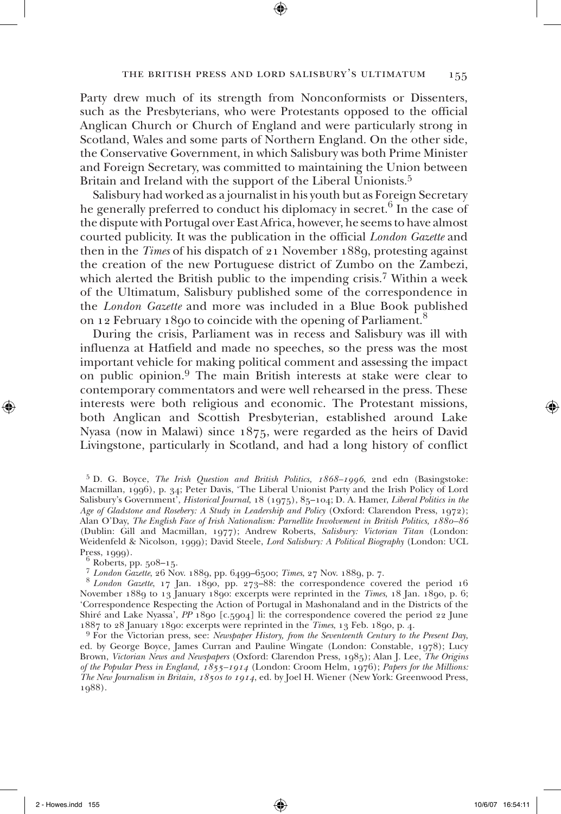Party drew much of its strength from Nonconformists or Dissenters, such as the Presbyterians, who were Protestants opposed to the official Anglican Church or Church of England and were particularly strong in Scotland, Wales and some parts of Northern England. On the other side, the Conservative Government, in which Salisbury was both Prime Minister and Foreign Secretary, was committed to maintaining the Union between Britain and Ireland with the support of the Liberal Unionists.<sup>5</sup>

Salisbury had worked as a journalist in his youth but as Foreign Secretary he generally preferred to conduct his diplomacy in secret.<sup>6</sup> In the case of the dispute with Portugal over East Africa, however, he seems to have almost courted publicity. It was the publication in the official *London Gazette* and then in the *Times* of his dispatch of 21 November 1889, protesting against the creation of the new Portuguese district of Zumbo on the Zambezi, which alerted the British public to the impending crisis.<sup>7</sup> Within a week of the Ultimatum, Salisbury published some of the correspondence in the *London Gazette* and more was included in a Blue Book published on 12 February 1890 to coincide with the opening of Parliament.<sup>8</sup>

During the crisis, Parliament was in recess and Salisbury was ill with influenza at Hatfield and made no speeches, so the press was the most important vehicle for making political comment and assessing the impact on public opinion.<sup>9</sup> The main British interests at stake were clear to contemporary commentators and were well rehearsed in the press. These interests were both religious and economic. The Protestant missions, both Anglican and Scottish Presbyterian, established around Lake Nyasa (now in Malawi) since 1875, were regarded as the heirs of David Livingstone, particularly in Scotland, and had a long history of conflict

5 D. G. Boyce, *The Irish Question and British Politics, 1868–1996*, 2nd edn (Basingstoke: Macmillan, 1996), p. 34; Peter Davis, 'The Liberal Unionist Party and the Irish Policy of Lord Salisbury's Government', *Historical Journal*, 18 (1975), 85–104; D. A. Hamer, *Liberal Politics in the Age of Gladstone and Rosebery: A Study in Leadership and Policy* (Oxford: Clarendon Press, 1972); Alan O'Day, *The English Face of Irish Nationalism: Parnellite Involvement in British Politics, 1880–86* (Dublin: Gill and Macmillan, 1977); Andrew Roberts, *Salisbury: Victorian Titan* (London: Weidenfeld & Nicolson, 1999); David Steele, *Lord Salisbury: A Political Biography* (London: UCL Press, 1999).

 $6$  Roberts, pp. 508–15.

<sup>7</sup> *London Gazette*, 26 Nov. 1889, pp. 6499–6500; *Times*, 27 Nov. 1889, p. 7. <sup>8</sup> *London Gazette*, 17 Jan. 1890, pp. 273–88: the correspondence covered the period 16 November 1889 to 13 January 1890: excerpts were reprinted in the *Times*, 18 Jan. 1890, p. 6; 'Correspondence Respecting the Action of Portugal in Mashonaland and in the Districts of the Shiré and Lake Nyassa', *PP* 1890 [c.5904] li: the correspondence covered the period 22 June 1887 to 28 January 1890: excerpts were reprinted in the *Times*, 13 Feb. 1890, p. 4. <sup>9</sup>

 For the Victorian press, see: *Newspaper History, from the Seventeenth Century to the Present Day*, ed. by George Boyce, James Curran and Pauline Wingate (London: Constable, 1978); Lucy Brown, *Victorian News and Newspapers* (Oxford: Clarendon Press, 1985); Alan J. Lee, *The Origins of the Popular Press in England, 1855–1914* (London: Croom Helm, 1976); *Papers for the Millions: The New Journalism in Britain, 1850s to 1914*, ed. by Joel H. Wiener (New York: Greenwood Press, 1988).

⊕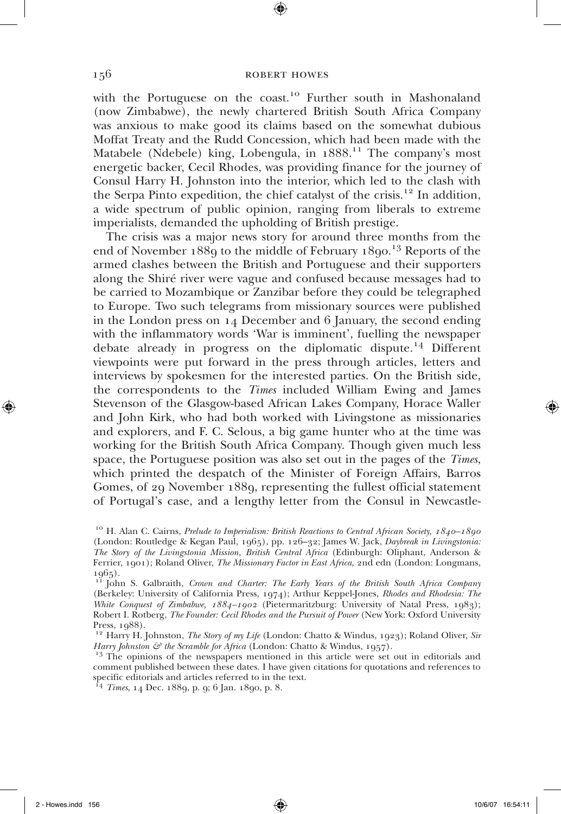with the Portuguese on the coast.<sup>10</sup> Further south in Mashonaland (now Zimbabwe), the newly chartered British South Africa Company was anxious to make good its claims based on the somewhat dubious Moffat Treaty and the Rudd Concession, which had been made with the Matabele (Ndebele) king, Lobengula, in  $1888$ <sup>11</sup>. The company's most energetic backer, Cecil Rhodes, was providing finance for the journey of Consul Harry H. Johnston into the interior, which led to the clash with the Serpa Pinto expedition, the chief catalyst of the crisis.<sup>12</sup> In addition, a wide spectrum of public opinion, ranging from liberals to extreme imperialists, demanded the upholding of British prestige.

The crisis was a major news story for around three months from the end of November 1889 to the middle of February  $1890.<sup>13</sup>$  Reports of the armed clashes between the British and Portuguese and their supporters along the Shiré river were vague and confused because messages had to be carried to Mozambique or Zanzibar before they could be telegraphed to Europe. Two such telegrams from missionary sources were published in the London press on 14 December and 6 January, the second ending with the inflammatory words 'War is imminent', fuelling the newspaper debate already in progress on the diplomatic dispute.<sup>14</sup> Different viewpoints were put forward in the press through articles, letters and interviews by spokesmen for the interested parties. On the British side, the correspondents to the *Times* included William Ewing and James Stevenson of the Glasgow-based African Lakes Company, Horace Waller and John Kirk, who had both worked with Livingstone as missionaries and explorers, and F. C. Selous, a big game hunter who at the time was working for the British South Africa Company. Though given much less space, the Portuguese position was also set out in the pages of the *Times*, which printed the despatch of the Minister of Foreign Affairs, Barros Gomes, of 29 November 1889, representing the fullest official statement of Portugal's case, and a lengthy letter from the Consul in Newcastle-

comment published between these dates. I have given citations for quotations and references to specific editorials and articles referred to in the text. <sup>14</sup> *Times*, 14 Dec. 1889, p. 9; 6 Jan. 1890, p. 8.

⊕

<sup>10</sup> H. Alan C. Cairns, *Prelude to Imperialism: British Reactions to Central African Society, 1840–1890* (London: Routledge & Kegan Paul, 1965), pp. 126–32; James W. Jack, *Daybreak in Livingstonia: The Story of the Livingstonia Mission, British Central Africa* (Edinburgh: Oliphant, Anderson & Ferrier, 1901); Roland Oliver, *The Missionary Factor in East Africa,* 2nd edn (London: Longmans, 1965).

<sup>11</sup> John S. Galbraith, *Crown and Charter: The Early Years of the British South Africa Company* (Berkeley: University of California Press, 1974); Arthur Keppel-Jones, *Rhodes and Rhodesia: The White Conquest of Zimbabwe, 1884–1902* (Pietermaritzburg: University of Natal Press, 1983); Robert I. Rotberg, *The Founder: Cecil Rhodes and the Pursuit of Power* (New York: Oxford University Press, 1988).

<sup>12</sup> Harry H. Johnston, *The Story of my Life* (London: Chatto & Windus, 1923); Roland Oliver, *Sir Harry Johnston & the Scramble for Africa* (London: Chatto & Windus, 1957). <sup>13</sup> The opinions of the newspapers mentioned in this article were set out in editorials and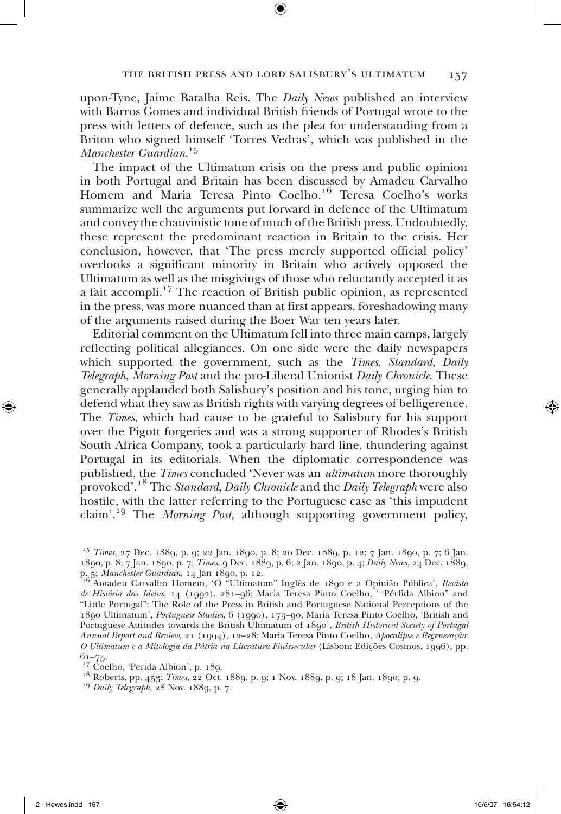#### the british press and lord salisbury's ultimatum 157

upon-Tyne, Jaime Batalha Reis. The *Daily News* published an interview with Barros Gomes and individual British friends of Portugal wrote to the press with letters of defence, such as the plea for understanding from a Briton who signed himself 'Torres Vedras', which was published in the *Manchester Guardian*. 15

The impact of the Ultimatum crisis on the press and public opinion in both Portugal and Britain has been discussed by Amadeu Carvalho Homem and Maria Teresa Pinto Coelho.<sup>16</sup> Teresa Coelho's works summarize well the arguments put forward in defence of the Ultimatum and convey the chauvinistic tone of much of the British press. Undoubtedly, these represent the predominant reaction in Britain to the crisis. Her conclusion, however, that 'The press merely supported official policy' overlooks a significant minority in Britain who actively opposed the Ultimatum as well as the misgivings of those who reluctantly accepted it as a fait accompli.17 The reaction of British public opinion, as represented in the press, was more nuanced than at first appears, foreshadowing many of the arguments raised during the Boer War ten years later.

Editorial comment on the Ultimatum fell into three main camps, largely reflecting political allegiances. On one side were the daily newspapers which supported the government, such as the *Times*, *Standard*, *Daily Telegraph*, *Morning Post* and the pro-Liberal Unionist *Daily Chronicle*. These generally applauded both Salisbury's position and his tone, urging him to defend what they saw as British rights with varying degrees of belligerence. The *Times*, which had cause to be grateful to Salisbury for his support over the Pigott forgeries and was a strong supporter of Rhodes's British South Africa Company, took a particularly hard line, thundering against Portugal in its editorials. When the diplomatic correspondence was published, the *Times* concluded 'Never was an *ultimatum* more thoroughly provoked'.18 The *Standard*, *Daily Chronicle* and the *Daily Telegraph* were also hostile, with the latter referring to the Portuguese case as 'this impudent claim'.19 The *Morning Post*, although supporting government policy,

2 - Howes.indd 157 10/6/07 16:54:12

⊕

<sup>15</sup> *Times*, 27 Dec. 1889, p. 9; 22 Jan. 1890, p. 8; 20 Dec. 1889, p. 12; 7 Jan. 1890, p. 7; 6 Jan. 1890, p. 8; 7 Jan. 1890, p. 7; *Times*, 9 Dec. 1889, p. 6; 2 Jan. 1890, p. 4; *Daily News*, 24 Dec. 1889,

p. 5; *Manchester Guardian*, 14 Jan 1890, p. 12. 16 Amadeu Carvalho Homem, 'O "Ultimatum" Inglês de 1890 e a Opinião Pública', *Revista de História das Ideias*, 14 (1992), 281–96; Maria Teresa Pinto Coelho, ' "Pérfida Albion" and "Little Portugal": The Role of the Press in British and Portuguese National Perceptions of the 1890 Ultimatum', *Portuguese Studies*, 6 (1990), 173–90; Maria Teresa Pinto Coelho, 'British and Portuguese Attitudes towards the British Ultimatum of 1890', *British Historical Society of Portugal Annual Report and Review,* 21 (1994), 12–28; Maria Teresa Pinto Coelho, *Apocalipse e Regeneração: O Ultimatum e a Mitologia da Pátria na Literatura Finissecular* (Lisbon: Edições Cosmos, 1996), pp.

<sup>61–75.&</sup>lt;br><sup>17</sup> Coelho, 'Perida Albion', p. 189.

<sup>17</sup> Coelho, 'Perida Albion', p. 189. 18 Roberts, pp. 453; *Times*, 22 Oct. 1889, p. 9; 1 Nov. 1889, p. 9; 18 Jan. 1890, p. 9. <sup>19</sup> *Daily Telegraph*, 28 Nov. 1889, p. 7.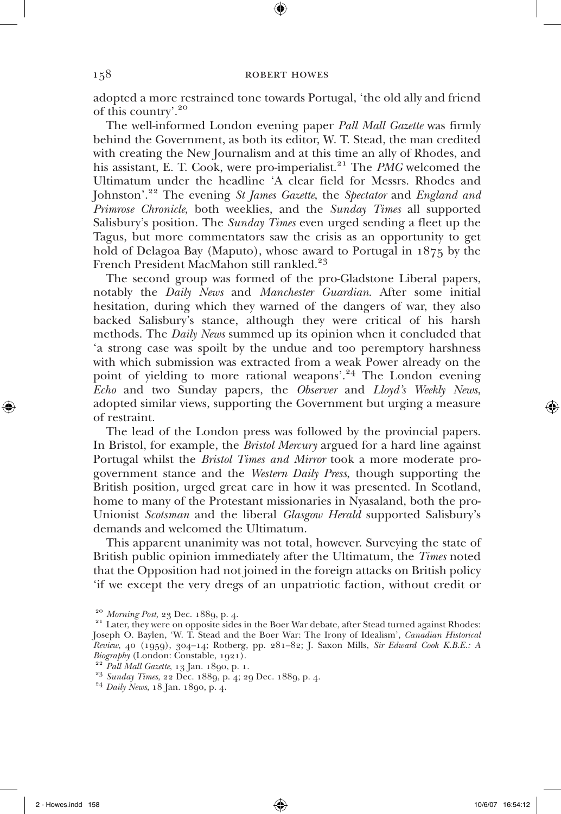⊕

adopted a more restrained tone towards Portugal, 'the old ally and friend of this country'.20

The well-informed London evening paper *Pall Mall Gazette* was firmly behind the Government, as both its editor, W. T. Stead, the man credited with creating the New Journalism and at this time an ally of Rhodes, and his assistant, E. T. Cook, were pro-imperialist.<sup>21</sup> The *PMG* welcomed the Ultimatum under the headline 'A clear field for Messrs. Rhodes and Johnston'.22 The evening *St James Gazette*, the *Spectator* and *England and Primrose Chronicle*, both weeklies, and the *Sunday Times* all supported Salisbury's position. The *Sunday Times* even urged sending a fleet up the Tagus, but more commentators saw the crisis as an opportunity to get hold of Delagoa Bay (Maputo), whose award to Portugal in 1875 by the French President MacMahon still rankled.<sup>23</sup>

The second group was formed of the pro-Gladstone Liberal papers, notably the *Daily News* and *Manchester Guardian*. After some initial hesitation, during which they warned of the dangers of war, they also backed Salisbury's stance, although they were critical of his harsh methods. The *Daily News* summed up its opinion when it concluded that 'a strong case was spoilt by the undue and too peremptory harshness with which submission was extracted from a weak Power already on the point of yielding to more rational weapons'.<sup>24</sup> The London evening *Echo* and two Sunday papers, the *Observer* and *Lloyd's Weekly News*, adopted similar views, supporting the Government but urging a measure of restraint.

The lead of the London press was followed by the provincial papers. In Bristol, for example, the *Bristol Mercury* argued for a hard line against Portugal whilst the *Bristol Times and Mirror* took a more moderate progovernment stance and the *Western Daily Press*, though supporting the British position, urged great care in how it was presented. In Scotland, home to many of the Protestant missionaries in Nyasaland, both the pro-Unionist *Scotsman* and the liberal *Glasgow Herald* supported Salisbury's demands and welcomed the Ultimatum.

This apparent unanimity was not total, however. Surveying the state of British public opinion immediately after the Ultimatum, the *Times* noted that the Opposition had not joined in the foreign attacks on British policy 'if we except the very dregs of an unpatriotic faction, without credit or

⊕

<sup>&</sup>lt;sup>20</sup> *Morning Post*, 23 Dec. 1889, p. 4.<br><sup>21</sup> Later, they were on opposite sides in the Boer War debate, after Stead turned against Rhodes: Joseph O. Baylen, 'W. T. Stead and the Boer War: The Irony of Idealism', *Canadian Historical Review*, 40 (1959), 304–14; Rotberg, pp. 281–82; J. Saxon Mills, *Sir Edward Cook K.B.E.: A Biography* (London: Constable, 1921). <sup>22</sup> *Pall Mall Gazette*, 13 Jan. 1890, p. 1. <sup>23</sup> *Sunday Times*, 22 Dec. 1889, p. 4; 29 Dec. 1889, p. 4. <sup>24</sup> *Daily News*, 18 Jan. 1890, p. 4.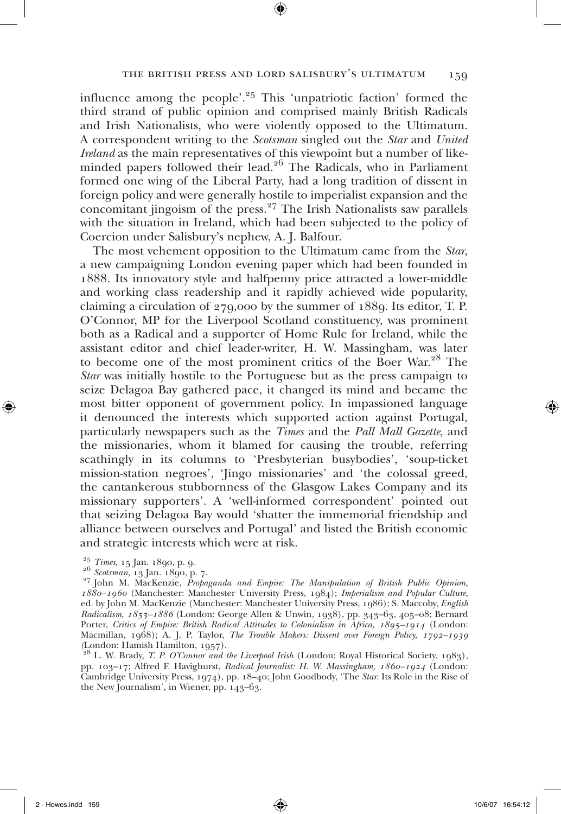#### the british press and lord salisbury's ultimatum 159

influence among the people'.<sup>25</sup> This 'unpatriotic faction' formed the third strand of public opinion and comprised mainly British Radicals and Irish Nationalists, who were violently opposed to the Ultimatum. A correspondent writing to the *Scotsman* singled out the *Star* and *United Ireland* as the main representatives of this viewpoint but a number of likeminded papers followed their lead.<sup>26</sup> The Radicals, who in Parliament formed one wing of the Liberal Party, had a long tradition of dissent in foreign policy and were generally hostile to imperialist expansion and the concomitant jingoism of the press. $27$  The Irish Nationalists saw parallels with the situation in Ireland, which had been subjected to the policy of Coercion under Salisbury's nephew, A. J. Balfour.

The most vehement opposition to the Ultimatum came from the *Star*, a new campaigning London evening paper which had been founded in 1888. Its innovatory style and halfpenny price attracted a lower-middle and working class readership and it rapidly achieved wide popularity, claiming a circulation of 279,000 by the summer of 1889. Its editor, T. P. O'Connor, MP for the Liverpool Scotland constituency, was prominent both as a Radical and a supporter of Home Rule for Ireland, while the assistant editor and chief leader-writer, H. W. Massingham, was later to become one of the most prominent critics of the Boer War.<sup>28</sup> The *Star* was initially hostile to the Portuguese but as the press campaign to seize Delagoa Bay gathered pace, it changed its mind and became the most bitter opponent of government policy. In impassioned language it denounced the interests which supported action against Portugal, particularly newspapers such as the *Times* and the *Pall Mall Gazette*, and the missionaries, whom it blamed for causing the trouble, referring scathingly in its columns to 'Presbyterian busybodies', 'soup-ticket mission-station negroes', 'Jingo missionaries' and 'the colossal greed, the cantankerous stubbornness of the Glasgow Lakes Company and its missionary supporters'. A 'well-informed correspondent' pointed out that seizing Delagoa Bay would 'shatter the immemorial friendship and alliance between ourselves and Portugal' and listed the British economic and strategic interests which were at risk.

28 L. W. Brady, *T. P. O'Connor and the Liverpool Irish* (London: Royal Historical Society, 1983), pp. 103–17; Alfred F. Havighurst, *Radical Journalist: H. W. Massingham, 1860–1924* (London: Cambridge University Press, 1974), pp. 18–40; John Goodbody, 'The *Star*: Its Role in the Rise of the New Journalism', in Wiener, pp. 143–63.

2 - Howes.indd 159 10/6/07 16:54:12 10/6/07 16:54:12 10/6/07 16:54:12

<sup>25</sup> *Times*, 15 Jan. 1890, p. 9. <sup>26</sup> *Scotsman*, 13 Jan. 1890, p. 7.

<sup>27</sup> John M. MacKenzie, *Propaganda and Empire: The Manipulation of British Public Opinion, 1880–1960* (Manchester: Manchester University Press, 1984); *Imperialism and Popular Culture*, ed. by John M. MacKenzie (Manchester: Manchester University Press, 1986); S. Maccoby, *English Radicalism, 1853–1886* (London: George Allen & Unwin, 1938), pp. 343–63, 405–08; Bernard Porter, *Critics of Empire: British Radical Attitudes to Colonialism in Africa, 1895–1914* (London: Macmillan, 1968); A. J. P. Taylor, *The Trouble Makers: Dissent over Foreign Policy, 1792–1939 (*London: Hamish Hamilton, 1957).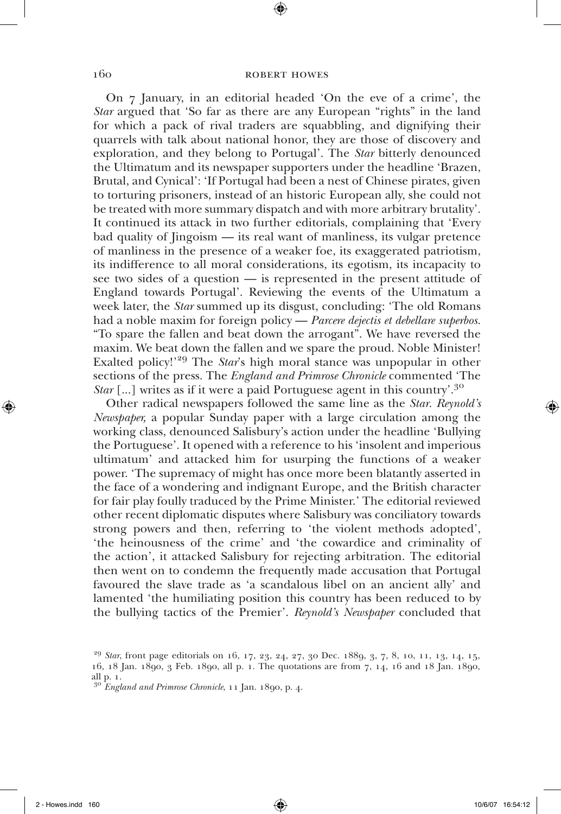On 7 January, in an editorial headed 'On the eve of a crime', the *Star* argued that 'So far as there are any European "rights" in the land for which a pack of rival traders are squabbling, and dignifying their quarrels with talk about national honor, they are those of discovery and exploration, and they belong to Portugal'. The *Star* bitterly denounced the Ultimatum and its newspaper supporters under the headline 'Brazen, Brutal, and Cynical': 'If Portugal had been a nest of Chinese pirates, given to torturing prisoners, instead of an historic European ally, she could not be treated with more summary dispatch and with more arbitrary brutality'. It continued its attack in two further editorials, complaining that 'Every bad quality of Jingoism — its real want of manliness, its vulgar pretence of manliness in the presence of a weaker foe, its exaggerated patriotism, its indifference to all moral considerations, its egotism, its incapacity to see two sides of a question — is represented in the present attitude of England towards Portugal'. Reviewing the events of the Ultimatum a week later, the *Star* summed up its disgust, concluding: 'The old Romans had a noble maxim for foreign policy — *Parcere dejectis et debellare superbos.* "To spare the fallen and beat down the arrogant". We have reversed the maxim. We beat down the fallen and we spare the proud. Noble Minister! Exalted policy!'29 The *Star*'s high moral stance was unpopular in other sections of the press. The *England and Primrose Chronicle* commented 'The *Star* [...] writes as if it were a paid Portuguese agent in this country'.<sup>30</sup>

Other radical newspapers followed the same line as the *Star*. *Reynold's Newspaper,* a popular Sunday paper with a large circulation among the working class, denounced Salisbury's action under the headline 'Bullying the Portuguese'. It opened with a reference to his 'insolent and imperious ultimatum' and attacked him for usurping the functions of a weaker power. 'The supremacy of might has once more been blatantly asserted in the face of a wondering and indignant Europe, and the British character for fair play foully traduced by the Prime Minister.' The editorial reviewed other recent diplomatic disputes where Salisbury was conciliatory towards strong powers and then, referring to 'the violent methods adopted', 'the heinousness of the crime' and 'the cowardice and criminality of the action', it attacked Salisbury for rejecting arbitration. The editorial then went on to condemn the frequently made accusation that Portugal favoured the slave trade as 'a scandalous libel on an ancient ally' and lamented 'the humiliating position this country has been reduced to by the bullying tactics of the Premier'. *Reynold's Newspaper* concluded that

⊕

<sup>&</sup>lt;sup>29</sup> *Star*, front page editorials on 16, 17, 23, 24, 27, 30 Dec. 1889, 3, 7, 8, 10, 11, 13, 14, 15, 16, 18 Jan. 1890, 3 Feb. 1890, all p. 1. The quotations are from 7, 14, 16 and 18 Jan. 1890, all p. 1.

<sup>30</sup> *England and Primrose Chronicle*, 11 Jan. 1890, p. 4.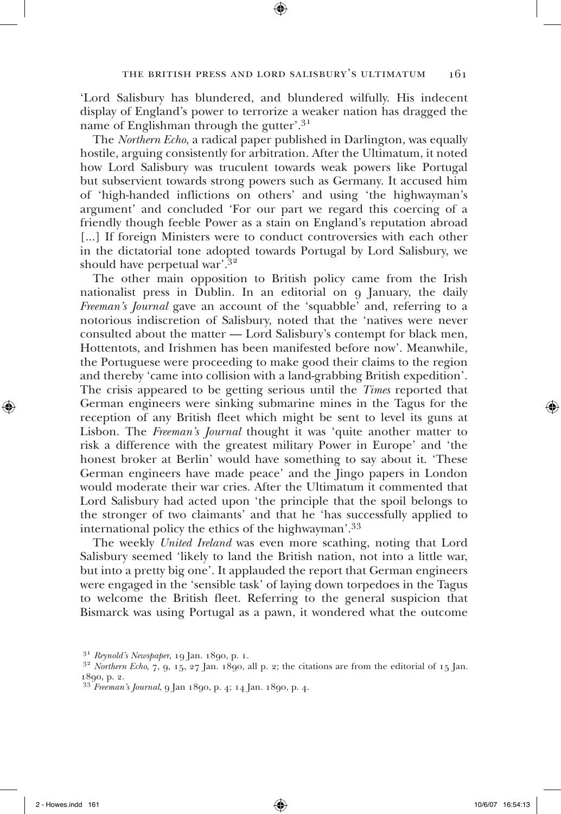'Lord Salisbury has blundered, and blundered wilfully. His indecent display of England's power to terrorize a weaker nation has dragged the name of Englishman through the gutter'. $3<sup>1</sup>$ 

The *Northern Echo*, a radical paper published in Darlington, was equally hostile, arguing consistently for arbitration. After the Ultimatum, it noted how Lord Salisbury was truculent towards weak powers like Portugal but subservient towards strong powers such as Germany. It accused him of 'high-handed inflictions on others' and using 'the highwayman's argument' and concluded 'For our part we regard this coercing of a friendly though feeble Power as a stain on England's reputation abroad [...] If foreign Ministers were to conduct controversies with each other in the dictatorial tone adopted towards Portugal by Lord Salisbury, we should have perpetual war'.<sup>32</sup>

The other main opposition to British policy came from the Irish nationalist press in Dublin. In an editorial on 9 January, the daily *Freeman's Journal* gave an account of the 'squabble' and, referring to a notorious indiscretion of Salisbury, noted that the 'natives were never consulted about the matter — Lord Salisbury's contempt for black men, Hottentots, and Irishmen has been manifested before now'. Meanwhile, the Portuguese were proceeding to make good their claims to the region and thereby 'came into collision with a land-grabbing British expedition'. The crisis appeared to be getting serious until the *Times* reported that German engineers were sinking submarine mines in the Tagus for the reception of any British fleet which might be sent to level its guns at Lisbon. The *Freeman's Journal* thought it was 'quite another matter to risk a difference with the greatest military Power in Europe' and 'the honest broker at Berlin' would have something to say about it. 'These German engineers have made peace' and the Jingo papers in London would moderate their war cries. After the Ultimatum it commented that Lord Salisbury had acted upon 'the principle that the spoil belongs to the stronger of two claimants' and that he 'has successfully applied to international policy the ethics of the highwayman'.33

The weekly *United Ireland* was even more scathing, noting that Lord Salisbury seemed 'likely to land the British nation, not into a little war, but into a pretty big one'. It applauded the report that German engineers were engaged in the 'sensible task' of laying down torpedoes in the Tagus to welcome the British fleet. Referring to the general suspicion that Bismarck was using Portugal as a pawn, it wondered what the outcome

<sup>31</sup> *Reynold's Newspaper*, 19 Jan. 1890, p. 1. <sup>32</sup> *Northern Echo*, 7, 9, 15, 27 Jan. 1890, all p. 2; the citations are from the editorial of 15 Jan. 1890, p. 2.

<sup>33</sup> *Freeman's Journal*, 9 Jan 1890, p. 4; 14 Jan. 1890, p. 4.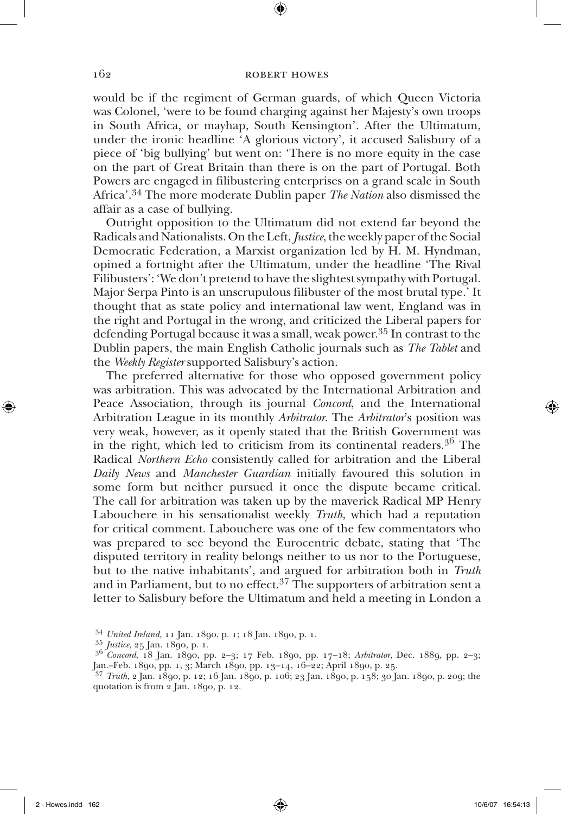would be if the regiment of German guards, of which Queen Victoria was Colonel, 'were to be found charging against her Majesty's own troops in South Africa, or mayhap, South Kensington'. After the Ultimatum, under the ironic headline 'A glorious victory', it accused Salisbury of a piece of 'big bullying' but went on: 'There is no more equity in the case on the part of Great Britain than there is on the part of Portugal. Both Powers are engaged in filibustering enterprises on a grand scale in South Africa'.34 The more moderate Dublin paper *The Nation* also dismissed the affair as a case of bullying.

Outright opposition to the Ultimatum did not extend far beyond the Radicals and Nationalists. On the Left, *Justice*, the weekly paper of the Social Democratic Federation, a Marxist organization led by H. M. Hyndman, opined a fortnight after the Ultimatum, under the headline 'The Rival Filibusters': 'We don't pretend to have the slightest sympathy with Portugal. Major Serpa Pinto is an unscrupulous filibuster of the most brutal type.' It thought that as state policy and international law went, England was in the right and Portugal in the wrong, and criticized the Liberal papers for defending Portugal because it was a small, weak power.<sup>35</sup> In contrast to the Dublin papers, the main English Catholic journals such as *The Tablet* and the *Weekly Register* supported Salisbury's action.

The preferred alternative for those who opposed government policy was arbitration. This was advocated by the International Arbitration and Peace Association, through its journal *Concord*, and the International Arbitration League in its monthly *Arbitrator*. The *Arbitrator*'s position was very weak, however, as it openly stated that the British Government was in the right, which led to criticism from its continental readers. $3<sup>6</sup>$  The Radical *Northern Echo* consistently called for arbitration and the Liberal *Daily News* and *Manchester Guardian* initially favoured this solution in some form but neither pursued it once the dispute became critical. The call for arbitration was taken up by the maverick Radical MP Henry Labouchere in his sensationalist weekly *Truth*, which had a reputation for critical comment. Labouchere was one of the few commentators who was prepared to see beyond the Eurocentric debate, stating that 'The disputed territory in reality belongs neither to us nor to the Portuguese, but to the native inhabitants', and argued for arbitration both in *Truth* and in Parliament, but to no effect.<sup>37</sup> The supporters of arbitration sent a letter to Salisbury before the Ultimatum and held a meeting in London a

⊕

<sup>34</sup> *United Ireland*, 11 Jan. 1890, p. 1; 18 Jan. 1890, p. 1. <sup>35</sup> *Justice*, 25 Jan. 1890, p. 1. <sup>36</sup> *Concord*, 18 Jan. 1890, pp. 2–3; 17 Feb. 1890, pp. 17–18; *Arbitrator*, Dec. 1889, pp. 2–3; Jan.–Feb. 1890, pp. 1, 3; March 1890, pp. 13–14, 16–22; April 1890, p. 25.

<sup>37</sup> *Truth*, 2 Jan. 1890, p. 12; 16 Jan. 1890, p. 106; 23 Jan. 1890, p. 158; 30 Jan. 1890, p. 209; the quotation is from 2 Jan. 1890, p. 12.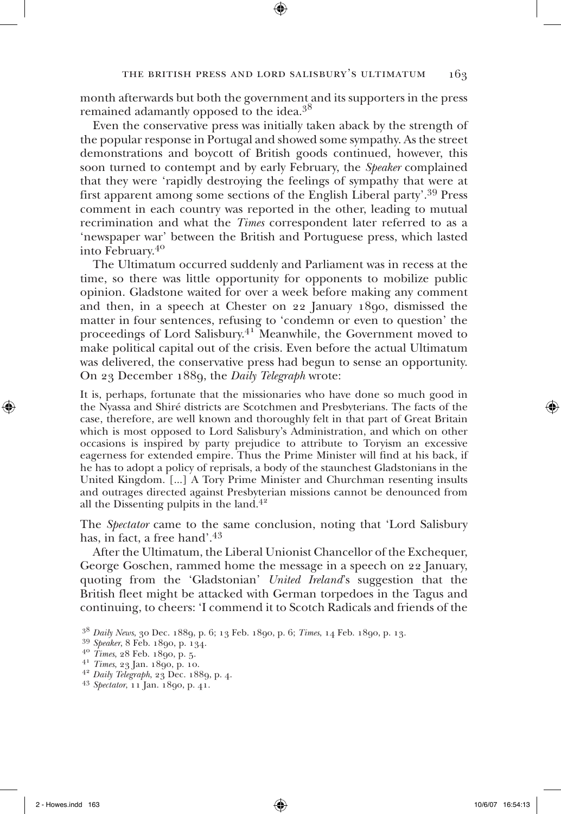month afterwards but both the government and its supporters in the press remained adamantly opposed to the idea.38

Even the conservative press was initially taken aback by the strength of the popular response in Portugal and showed some sympathy. As the street demonstrations and boycott of British goods continued, however, this soon turned to contempt and by early February, the *Speaker* complained that they were 'rapidly destroying the feelings of sympathy that were at first apparent among some sections of the English Liberal party'.39 Press comment in each country was reported in the other, leading to mutual recrimination and what the *Times* correspondent later referred to as a 'newspaper war' between the British and Portuguese press, which lasted into February.40

The Ultimatum occurred suddenly and Parliament was in recess at the time, so there was little opportunity for opponents to mobilize public opinion. Gladstone waited for over a week before making any comment and then, in a speech at Chester on 22 January 1890, dismissed the matter in four sentences, refusing to 'condemn or even to question' the proceedings of Lord Salisbury.41 Meanwhile, the Government moved to make political capital out of the crisis. Even before the actual Ultimatum was delivered, the conservative press had begun to sense an opportunity. On 23 December 1889, the *Daily Telegraph* wrote:

It is, perhaps, fortunate that the missionaries who have done so much good in the Nyassa and Shiré districts are Scotchmen and Presbyterians. The facts of the case, therefore, are well known and thoroughly felt in that part of Great Britain which is most opposed to Lord Salisbury's Administration, and which on other occasions is inspired by party prejudice to attribute to Toryism an excessive eagerness for extended empire. Thus the Prime Minister will find at his back, if he has to adopt a policy of reprisals, a body of the staunchest Gladstonians in the United Kingdom. [...] A Tory Prime Minister and Churchman resenting insults and outrages directed against Presbyterian missions cannot be denounced from all the Dissenting pulpits in the land. $4^2$ 

The *Spectator* came to the same conclusion, noting that 'Lord Salisbury has, in fact, a free hand'.43

After the Ultimatum, the Liberal Unionist Chancellor of the Exchequer, George Goschen, rammed home the message in a speech on 22 January, quoting from the 'Gladstonian' *United Ireland*'s suggestion that the British fleet might be attacked with German torpedoes in the Tagus and continuing, to cheers: 'I commend it to Scotch Radicals and friends of the

2 - Howes.indd 163 10/6/07 16:54:13 10/6/07 16:54:13 10/6/07 16:54:13

⊕

<sup>&</sup>lt;sup>38</sup> Daily News, 30 Dec. 1889, p. 6; 13 Feb. 1890, p. 6; *Times*, 14 Feb. 1890, p. 13.<br><sup>39</sup> Speaker, 8 Feb. 1890, p. 134.<br><sup>40</sup> *Times*, 28 Feb. 1890, p. 134.<br><sup>41</sup> *Times*, 23 Jan. 1890, p. 10.<br><sup>42</sup> Daily Telegraph, 23 Dec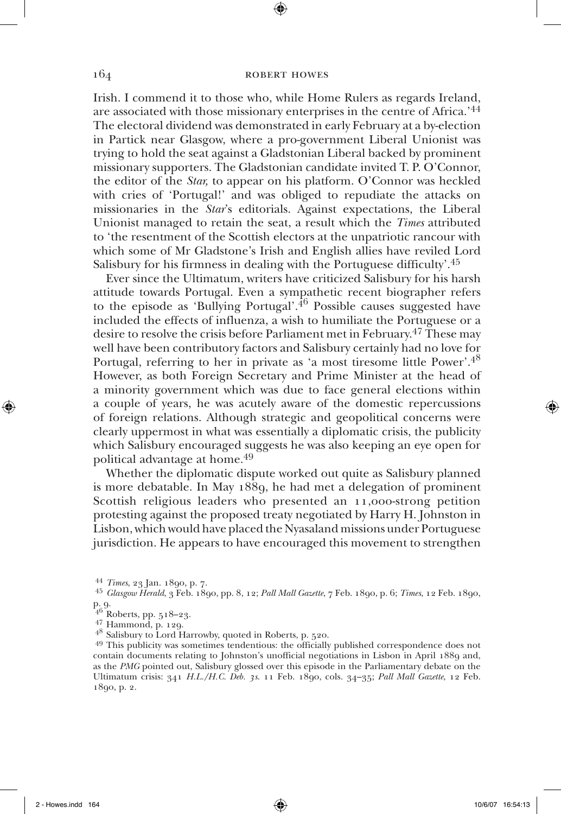Irish. I commend it to those who, while Home Rulers as regards Ireland, are associated with those missionary enterprises in the centre of Africa.'<sup>44</sup> The electoral dividend was demonstrated in early February at a by-election in Partick near Glasgow, where a pro-government Liberal Unionist was trying to hold the seat against a Gladstonian Liberal backed by prominent missionary supporters. The Gladstonian candidate invited T. P. O'Connor, the editor of the *Star,* to appear on his platform. O'Connor was heckled with cries of 'Portugal!' and was obliged to repudiate the attacks on missionaries in the *Star*'s editorials. Against expectations, the Liberal Unionist managed to retain the seat, a result which the *Times* attributed to 'the resentment of the Scottish electors at the unpatriotic rancour with which some of Mr Gladstone's Irish and English allies have reviled Lord Salisbury for his firmness in dealing with the Portuguese difficulty'.45

Ever since the Ultimatum, writers have criticized Salisbury for his harsh attitude towards Portugal. Even a sympathetic recent biographer refers to the episode as 'Bullying Portugal'.<sup>46</sup> Possible causes suggested have included the effects of influenza, a wish to humiliate the Portuguese or a desire to resolve the crisis before Parliament met in February.47 These may well have been contributory factors and Salisbury certainly had no love for Portugal, referring to her in private as 'a most tiresome little Power'.<sup>48</sup> However, as both Foreign Secretary and Prime Minister at the head of a minority government which was due to face general elections within a couple of years, he was acutely aware of the domestic repercussions of foreign relations. Although strategic and geopolitical concerns were clearly uppermost in what was essentially a diplomatic crisis, the publicity which Salisbury encouraged suggests he was also keeping an eye open for political advantage at home.49

Whether the diplomatic dispute worked out quite as Salisbury planned is more debatable. In May 1889, he had met a delegation of prominent Scottish religious leaders who presented an 11,000-strong petition protesting against the proposed treaty negotiated by Harry H. Johnston in Lisbon, which would have placed the Nyasaland missions under Portuguese jurisdiction. He appears to have encouraged this movement to strengthen

<sup>47</sup> Hammond, p. 129.<br><sup>48</sup> Salisbury to Lord Harrowby, quoted in Roberts, p. 520.<br><sup>49</sup> This publicity was sometimes tendentious: the officially published correspondence does not contain documents relating to Johnston's unofficial negotiations in Lisbon in April 1889 and, as the *PMG* pointed out, Salisbury glossed over this episode in the Parliamentary debate on the Ultimatum crisis: 341 *H.L./H.C. Deb. 3s*. 11 Feb. 1890, cols. 34–35; *Pall Mall Gazette*, 12 Feb. 1890, p. 2.

⊕

<sup>44</sup> *Times*, 23 Jan. 1890, p. 7. <sup>45</sup> *Glasgow Herald*, 3 Feb. 1890, pp. 8, 12; *Pall Mall Gazette*, 7 Feb. 1890, p. 6; *Times*, 12 Feb. 1890, p. 9.<br><sup>46</sup> Roberts, pp. 518–23.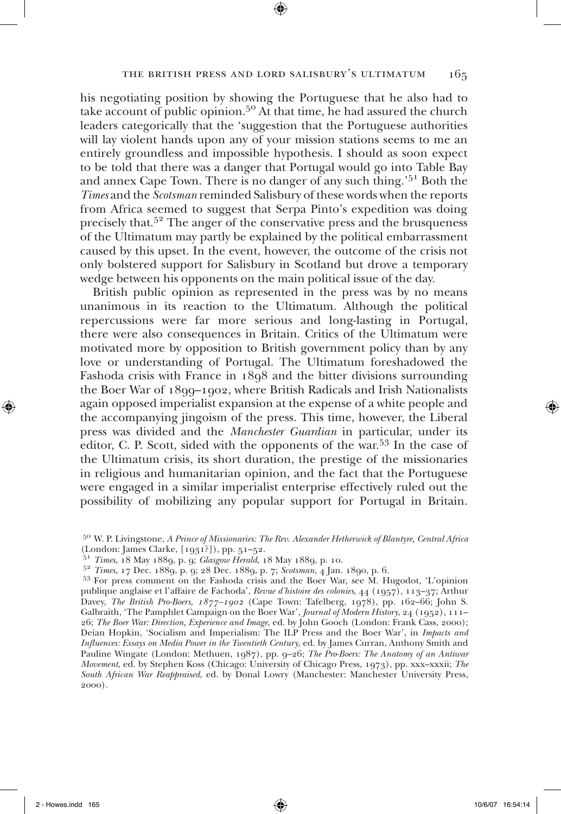### the british press and lord salisbury's ultimatum 165

his negotiating position by showing the Portuguese that he also had to take account of public opinion.<sup>50</sup> At that time, he had assured the church leaders categorically that the 'suggestion that the Portuguese authorities will lay violent hands upon any of your mission stations seems to me an entirely groundless and impossible hypothesis. I should as soon expect to be told that there was a danger that Portugal would go into Table Bay and annex Cape Town. There is no danger of any such thing.<sup>51</sup> Both the *Times* and the *Scotsman* reminded Salisbury of these words when the reports from Africa seemed to suggest that Serpa Pinto's expedition was doing precisely that.<sup>52</sup> The anger of the conservative press and the brusqueness of the Ultimatum may partly be explained by the political embarrassment caused by this upset. In the event, however, the outcome of the crisis not only bolstered support for Salisbury in Scotland but drove a temporary wedge between his opponents on the main political issue of the day.

British public opinion as represented in the press was by no means unanimous in its reaction to the Ultimatum. Although the political repercussions were far more serious and long-lasting in Portugal, there were also consequences in Britain. Critics of the Ultimatum were motivated more by opposition to British government policy than by any love or understanding of Portugal. The Ultimatum foreshadowed the Fashoda crisis with France in 1898 and the bitter divisions surrounding the Boer War of 1899–1902, where British Radicals and Irish Nationalists again opposed imperialist expansion at the expense of a white people and the accompanying jingoism of the press. This time, however, the Liberal press was divided and the *Manchester Guardian* in particular, under its editor, C. P. Scott, sided with the opponents of the war.53 In the case of the Ultimatum crisis, its short duration, the prestige of the missionaries in religious and humanitarian opinion, and the fact that the Portuguese were engaged in a similar imperialist enterprise effectively ruled out the possibility of mobilizing any popular support for Portugal in Britain.

- 
- 

 $^{52}$  Times, 17 Dec. 1889, p. 9; 28 Dec. 1889, p. 7; Scotsman, 4 Jan. 1890, p. 6.<br> $^{53}$  For press comment on the Fashoda crisis and the Boer War, see M. Hugodot, 'L'opinion publique anglaise et l'affaire de Fachoda', *Revue d'histoire des colonies*, 44 (1957), 113–37; Arthur Davey, *The British Pro-Boers, 1877–1902* (Cape Town: Tafelberg, 1978), pp. 162–66; John S. Galbraith, 'The Pamphlet Campaign on the Boer War', *Journal of Modern History*, 24 (1952), 111– 26; *The Boer War: Direction, Experience and Image*, ed. by John Gooch (London: Frank Cass, 2000); Deian Hopkin, 'Socialism and Imperialism: The ILP Press and the Boer War', in *Impacts and Influences: Essays on Media Power in the Twentieth Century*, ed. by James Curran, Anthony Smith and Pauline Wingate (London: Methuen, 1987), pp. 9–26; *The Pro-Boers: The Anatomy of an Antiwar Movement*, ed. by Stephen Koss (Chicago: University of Chicago Press, 1973), pp. xxx–xxxii; *The South African War Reappraised*, ed. by Donal Lowry (Manchester: Manchester University Press, 2000).

<sup>50</sup> W. P. Livingstone, *A Prince of Missionaries: The Rev. Alexander Hetherwick of Blantyre, Central Africa* (London: James Clarke, [1931?]), pp. 51–52.<br><sup>51</sup> *Times*, 18 May 1889, p. 9; *Glasgow Herald*, 18 May 1889, p. 10.